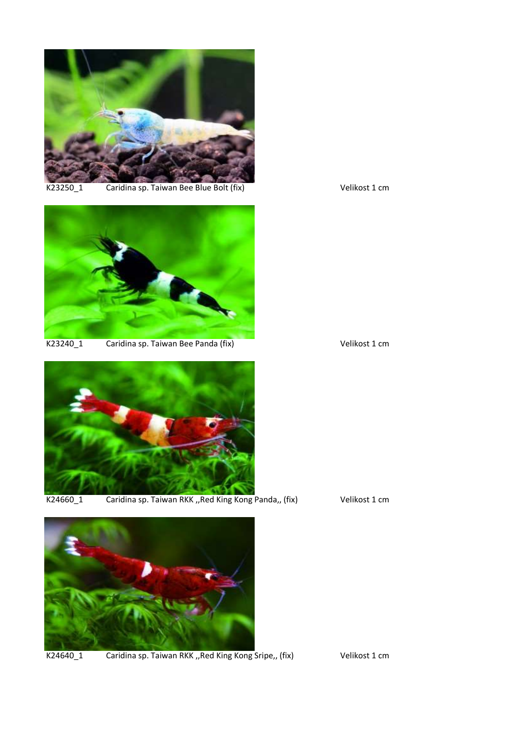

K23250\_1 Caridina sp. Taiwan Bee Blue Bolt (fix) Velikost 1 cm



K23240\_1 Caridina sp. Taiwan Bee Panda (fix) Manus Caridina sp. Taiwan Bee Panda (fix)



K24660\_1 Caridina sp. Taiwan RKK "Red King Kong Panda,, (fix) Velikost 1 cm



K24640\_1 Caridina sp. Taiwan RKK "Red King Kong Sripe,, (fix) Velikost 1 cm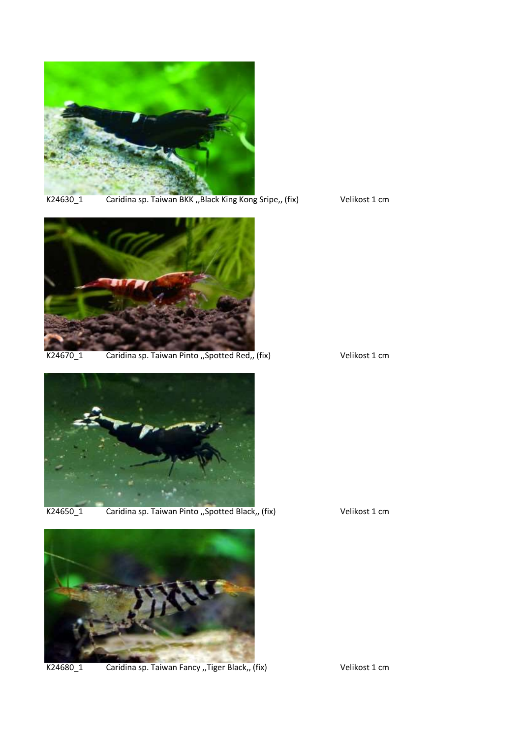

K24630\_1 Caridina sp. Taiwan BKK "Black King Kong Sripe,, (fix) Velikost 1 cm



K24670\_1 Caridina sp. Taiwan Pinto "Spotted Red" (fix) Velikost 1 cm





K24650\_1 Caridina sp. Taiwan Pinto "Spotted Black" (fix) Velikost 1 cm



K24680\_1 Caridina sp. Taiwan Fancy "Tiger Black" (fix) Velikost 1 cm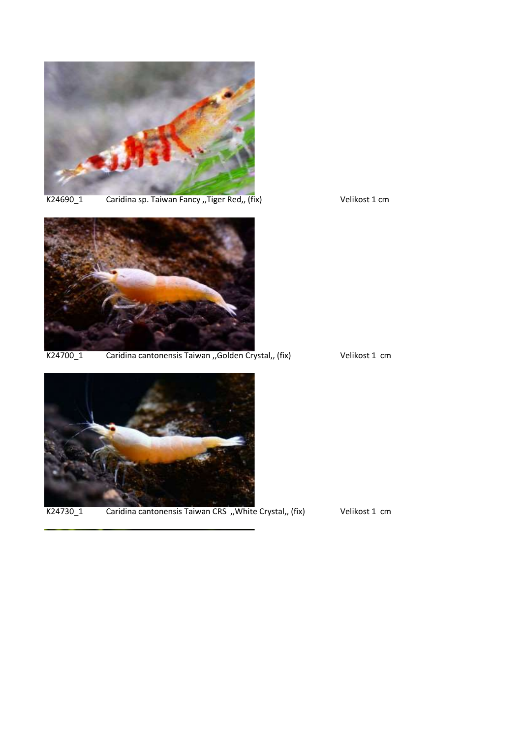

K24690\_1 Caridina sp. Taiwan Fancy "Tiger Red,, (fix) Velikost 1 cm



K24700\_1 Caridina cantonensis Taiwan "Golden Crystal,, (fix) Velikost 1 cm





K24730\_1 Caridina cantonensis Taiwan CRS "White Crystal" (fix) Velikost 1 cm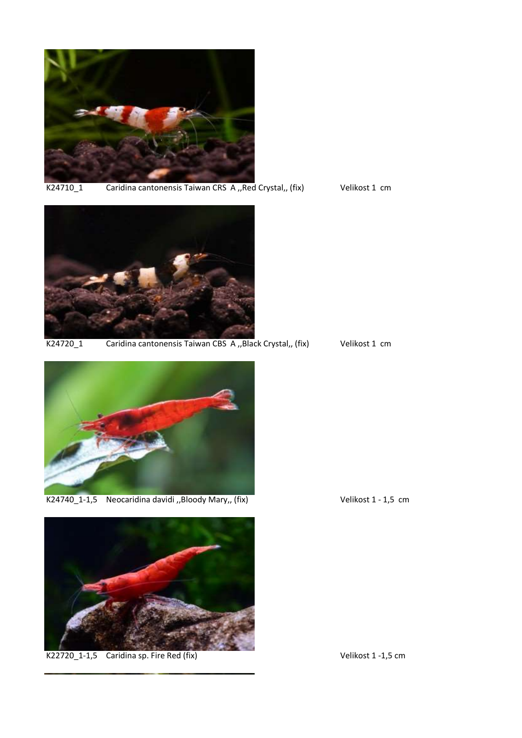

K24710\_1 Caridina cantonensis Taiwan CRS A ,, Red Crystal,, (fix) Velikost 1 cm



K24720\_1 Caridina cantonensis Taiwan CBS A ,, Black Crystal,, (fix) Velikost 1 cm



K24740\_1-1,5 Neocaridina davidi "Bloody Mary" (fix) Velikost 1 - 1,5 cm



K22720\_1-1,5 Caridina sp. Fire Red (fix) Velikost 1 -1,5 cm